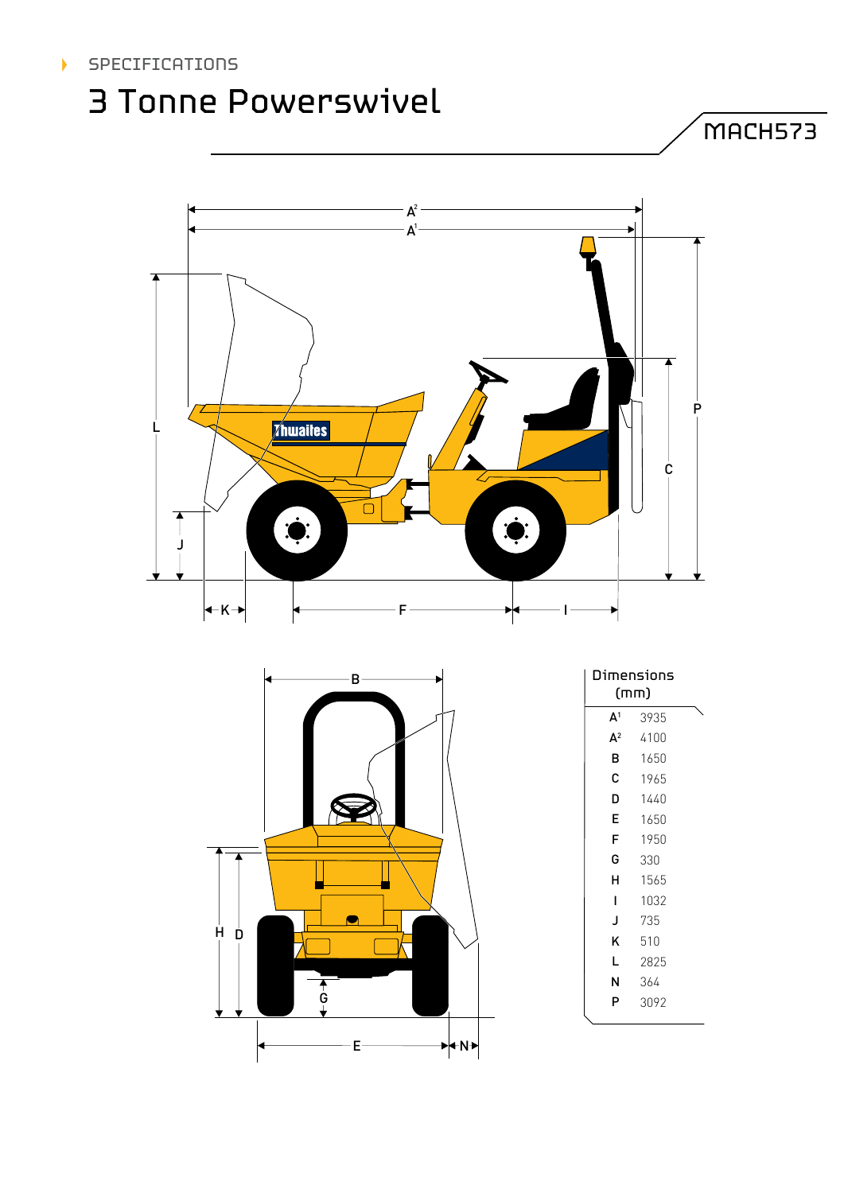## 3 Tonne Powerswivel

MACH573